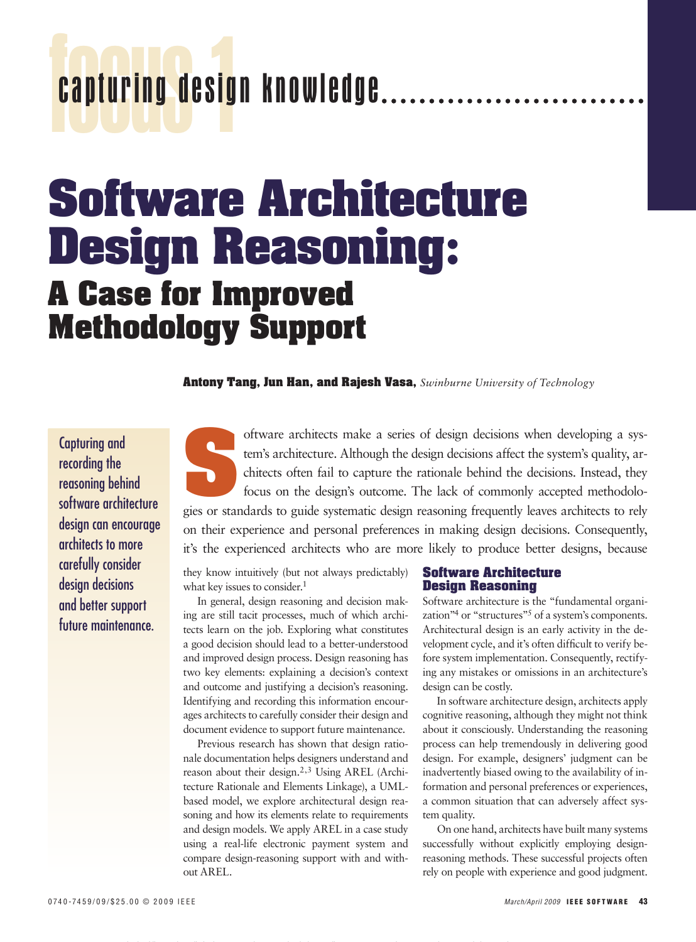# **footuring desig** <mark>capturing d</mark>esign knowledge

## **Software Architecture Design Reasoning: A Case for Improved Methodology Support**

**Antony Tang, Jun Han, and Rajesh Vasa,** *Swinburne University of Technology*

Capturing and recording the reasoning behind software architecture design can encourage architects to more carefully consider design decisions and better support future maintenance.

oftware architects make a series of design decisions when developing a system's architecture. Although the design decisions affect the system's quality, architects often fail to capture the rationale behind the decisions. tem's architecture. Although the design decisions affect the system's quality, architects often fail to capture the rationale behind the decisions. Instead, they focus on the design's outcome. The lack of commonly accepted methodologies or standards to guide systematic design reasoning frequently leaves architects to rely on their experience and personal preferences in making design decisions. Consequently, it's the experienced architects who are more likely to produce better designs, because

they know intuitively (but not always predictably) what key issues to consider.<sup>1</sup>

In general, design reasoning and decision making are still tacit processes, much of which architects learn on the job. Exploring what constitutes a good decision should lead to a better-understood and improved design process. Design reasoning has two key elements: explaining a decision's context and outcome and justifying a decision's reasoning. Identifying and recording this information encourages architects to carefully consider their design and document evidence to support future maintenance.

Previous research has shown that design rationale documentation helps designers understand and reason about their design.2,3 Using AREL (Architecture Rationale and Elements Linkage), a UMLbased model, we explore architectural design reasoning and how its elements relate to requirements and design models. We apply AREL in a case study using a real-life electronic payment system and compare design-reasoning support with and without AREL.

#### **Software Architecture Design Reasoning**

Software architecture is the "fundamental organization<sup>"4</sup> or "structures"<sup>5</sup> of a system's components. Architectural design is an early activity in the development cycle, and it's often difficult to verify before system implementation. Consequently, rectifying any mistakes or omissions in an architecture's design can be costly.

In software architecture design, architects apply cognitive reasoning, although they might not think about it consciously. Understanding the reasoning process can help tremendously in delivering good design. For example, designers' judgment can be inadvertently biased owing to the availability of information and personal preferences or experiences, a common situation that can adversely affect system quality.

On one hand, architects have built many systems successfully without explicitly employing designreasoning methods. These successful projects often rely on people with experience and good judgment.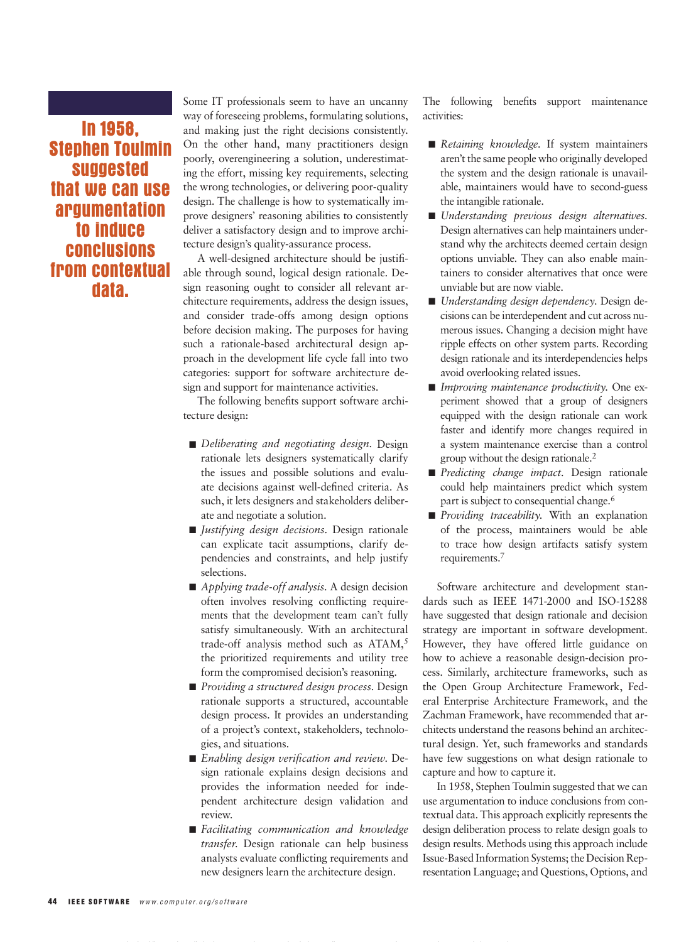### **In 1958, Stephen Toulmin suggested that we can use argumentation to induce conclusions from contextual data.**

Some IT professionals seem to have an uncanny way of foreseeing problems, formulating solutions, and making just the right decisions consistently. On the other hand, many practitioners design poorly, overengineering a solution, underestimating the effort, missing key requirements, selecting the wrong technologies, or delivering poor-quality design. The challenge is how to systematically improve designers' reasoning abilities to consistently deliver a satisfactory design and to improve architecture design's quality-assurance process.

A well-designed architecture should be justifiable through sound, logical design rationale. Design reasoning ought to consider all relevant architecture requirements, address the design issues, and consider trade-offs among design options before decision making. The purposes for having such a rationale-based architectural design approach in the development life cycle fall into two categories: support for software architecture design and support for maintenance activities.

The following benefits support software architecture design:

- *Deliberating and negotiating design*. Design rationale lets designers systematically clarify the issues and possible solutions and evaluate decisions against well-defined criteria. As such, it lets designers and stakeholders deliberate and negotiate a solution.
- *Justifying design decisions*. Design rationale can explicate tacit assumptions, clarify dependencies and constraints, and help justify selections.
- *Applying trade-off analysis*. A design decision often involves resolving conflicting requirements that the development team can't fully satisfy simultaneously. With an architectural trade-off analysis method such as  $ATAM$ ,<sup>5</sup> the prioritized requirements and utility tree form the compromised decision's reasoning.
- *Providing a structured design process*. Design rationale supports a structured, accountable design process. It provides an understanding of a project's context, stakeholders, technologies, and situations.
- *Enabling design verification and review*. Design rationale explains design decisions and provides the information needed for independent architecture design validation and review.
- *Facilitating communication and knowledge transfer.* Design rationale can help business analysts evaluate conflicting requirements and new designers learn the architecture design.

The following benefits support maintenance activities:

- *Retaining knowledge*. If system maintainers aren't the same people who originally developed the system and the design rationale is unavailable, maintainers would have to second-guess the intangible rationale.
- *Understanding previous design alternatives*. Design alternatives can help maintainers understand why the architects deemed certain design options unviable. They can also enable maintainers to consider alternatives that once were unviable but are now viable.
- *Understanding design dependency*. Design decisions can be interdependent and cut across numerous issues. Changing a decision might have ripple effects on other system parts. Recording design rationale and its interdependencies helps avoid overlooking related issues.
- *Improving maintenance productivity*. One experiment showed that a group of designers equipped with the design rationale can work faster and identify more changes required in a system maintenance exercise than a control group without the design rationale.<sup>2</sup>
- *Predicting change impact*. Design rationale could help maintainers predict which system part is subject to consequential change.<sup>6</sup>
- *Providing traceability*. With an explanation of the process, maintainers would be able to trace how design artifacts satisfy system requirements.7

Software architecture and development standards such as IEEE 1471-2000 and ISO-15288 have suggested that design rationale and decision strategy are important in software development. However, they have offered little guidance on how to achieve a reasonable design-decision process. Similarly, architecture frameworks, such as the Open Group Architecture Framework, Federal Enterprise Architecture Framework, and the Zachman Framework, have recommended that architects understand the reasons behind an architectural design. Yet, such frameworks and standards have few suggestions on what design rationale to capture and how to capture it.

In 1958, Stephen Toulmin suggested that we can use argumentation to induce conclusions from contextual data. This approach explicitly represents the design deliberation process to relate design goals to design results. Methods using this approach include Issue-Based Information Systems; the Decision Representation Language; and Questions, Options, and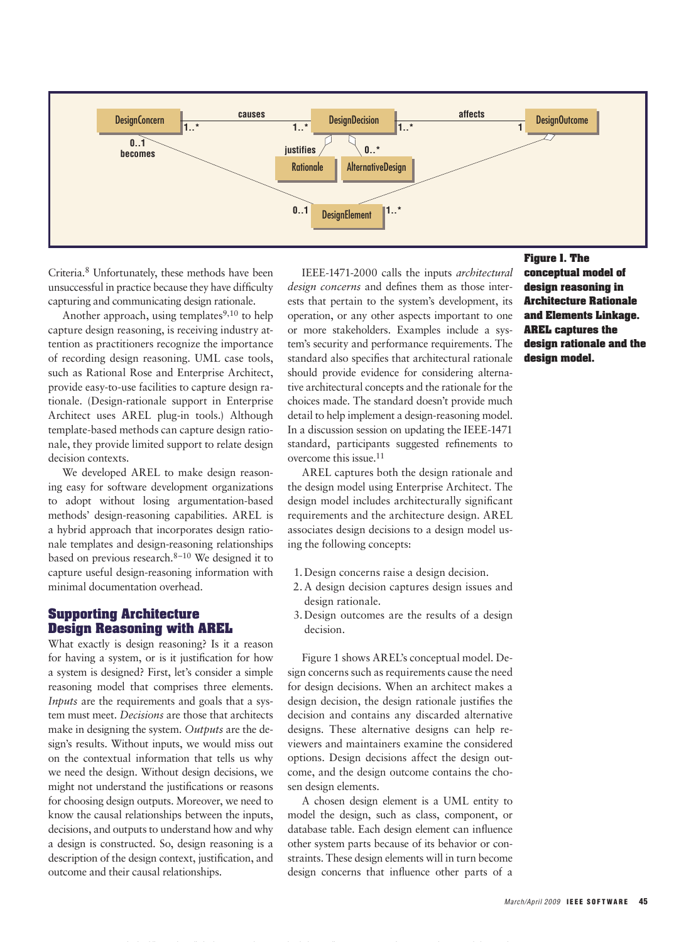

Criteria.8 Unfortunately, these methods have been unsuccessful in practice because they have difficulty capturing and communicating design rationale.

Another approach, using templates $9,10$  to help capture design reasoning, is receiving industry attention as practitioners recognize the importance of recording design reasoning. UML case tools, such as Rational Rose and Enterprise Architect, provide easy-to-use facilities to capture design rationale. (Design-rationale support in Enterprise Architect uses AREL plug-in tools.) Although template-based methods can capture design rationale, they provide limited support to relate design decision contexts.

We developed AREL to make design reasoning easy for software development organizations to adopt without losing argumentation-based methods' design-reasoning capabilities. AREL is a hybrid approach that incorporates design rationale templates and design-reasoning relationships based on previous research.8–10 We designed it to capture useful design-reasoning information with minimal documentation overhead.

#### **Supporting Architecture Design Reasoning with AREL**

What exactly is design reasoning? Is it a reason for having a system, or is it justification for how a system is designed? First, let's consider a simple reasoning model that comprises three elements. *Inputs* are the requirements and goals that a system must meet. *Decisions* are those that architects make in designing the system. *Outputs* are the design's results. Without inputs, we would miss out on the contextual information that tells us why we need the design. Without design decisions, we might not understand the justifications or reasons for choosing design outputs. Moreover, we need to know the causal relationships between the inputs, decisions, and outputs to understand how and why a design is constructed. So, design reasoning is a description of the design context, justification, and outcome and their causal relationships.

IEEE-1471-2000 calls the inputs *architectural design concerns* and defines them as those interests that pertain to the system's development, its operation, or any other aspects important to one or more stakeholders. Examples include a system's security and performance requirements. The standard also specifies that architectural rationale should provide evidence for considering alternative architectural concepts and the rationale for the choices made. The standard doesn't provide much detail to help implement a design-reasoning model. In a discussion session on updating the IEEE-1471 standard, participants suggested refinements to overcome this issue.11

AREL captures both the design rationale and the design model using Enterprise Architect. The design model includes architecturally significant requirements and the architecture design. AREL associates design decisions to a design model using the following concepts:

- 1. Design concerns raise a design decision.
- 2. A design decision captures design issues and design rationale.
- 3. Design outcomes are the results of a design decision.

Figure 1 shows AREL's conceptual model. Design concerns such as requirements cause the need for design decisions. When an architect makes a design decision, the design rationale justifies the decision and contains any discarded alternative designs. These alternative designs can help reviewers and maintainers examine the considered options. Design decisions affect the design outcome, and the design outcome contains the chosen design elements.

A chosen design element is a UML entity to model the design, such as class, component, or database table. Each design element can influence other system parts because of its behavior or constraints. These design elements will in turn become design concerns that influence other parts of a **Figure 1. The conceptual model of design reasoning in Architecture Rationale and Elements Linkage. AREL captures the design rationale and the design model.**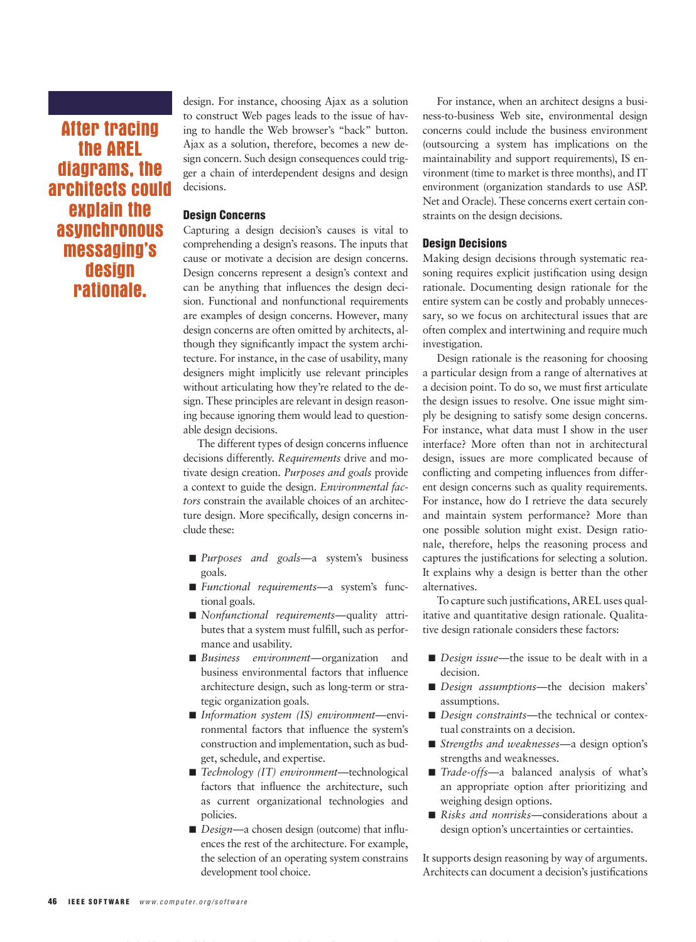**After tracing the AREL diagrams, the architects could explain the asynchronous messaging's design rationale.**

design. For instance, choosing Ajax as a solution to construct Web pages leads to the issue of having to handle the Web browser's "back" button. Ajax as a solution, therefore, becomes a new design concern. Such design consequences could trigger a chain of interdependent designs and design decisions.

#### Design Concerns

Capturing a design decision's causes is vital to comprehending a design's reasons. The inputs that cause or motivate a decision are design concerns. Design concerns represent a design's context and can be anything that influences the design decision. Functional and nonfunctional requirements are examples of design concerns. However, many design concerns are often omitted by architects, although they significantly impact the system architecture. For instance, in the case of usability, many designers might implicitly use relevant principles without articulating how they're related to the design. These principles are relevant in design reasoning because ignoring them would lead to questionable design decisions.

The different types of design concerns influence decisions differently. *Requirements* drive and motivate design creation. *Purposes and goals* provide a context to guide the design. *Environmental factors* constrain the available choices of an architecture design. More specifically, design concerns include these:

- *Purposes and goals*—a system's business goals.
- *Functional requirements*—a system's functional goals.
- *Nonfunctional requirements*—quality attributes that a system must fulfill, such as performance and usability.
- *Business environment*—organization and business environmental factors that influence architecture design, such as long-term or strategic organization goals.
- *Information system (IS) environment*—environmental factors that influence the system's construction and implementation, such as budget, schedule, and expertise.
- *Technology (IT) environment*—technological factors that influence the architecture, such as current organizational technologies and policies.
- *Design*—a chosen design (outcome) that influences the rest of the architecture. For example, the selection of an operating system constrains development tool choice.

For instance, when an architect designs a business-to-business Web site, environmental design concerns could include the business environment (outsourcing a system has implications on the maintainability and support requirements), IS environment (time to market is three months), and IT environment (organization standards to use ASP. Net and Oracle). These concerns exert certain constraints on the design decisions.

#### Design Decisions

Making design decisions through systematic reasoning requires explicit justification using design rationale. Documenting design rationale for the entire system can be costly and probably unnecessary, so we focus on architectural issues that are often complex and intertwining and require much investigation.

Design rationale is the reasoning for choosing a particular design from a range of alternatives at a decision point. To do so, we must first articulate the design issues to resolve. One issue might simply be designing to satisfy some design concerns. For instance, what data must I show in the user interface? More often than not in architectural design, issues are more complicated because of conflicting and competing influences from different design concerns such as quality requirements. For instance, how do I retrieve the data securely and maintain system performance? More than one possible solution might exist. Design rationale, therefore, helps the reasoning process and captures the justifications for selecting a solution. It explains why a design is better than the other alternatives.

To capture such justifications, AREL uses qualitative and quantitative design rationale. Qualitative design rationale considers these factors:

- *Design issue*—the issue to be dealt with in a decision.
- *Design assumptions*—the decision makers' assumptions.
- *Design constraints*—the technical or contextual constraints on a decision.
- *Strengths and weaknesses*—a design option's strengths and weaknesses.
- *Trade-offs*—a balanced analysis of what's an appropriate option after prioritizing and weighing design options.
- *Risks and nonrisks*—considerations about a design option's uncertainties or certainties.

It supports design reasoning by way of arguments. Architects can document a decision's justifications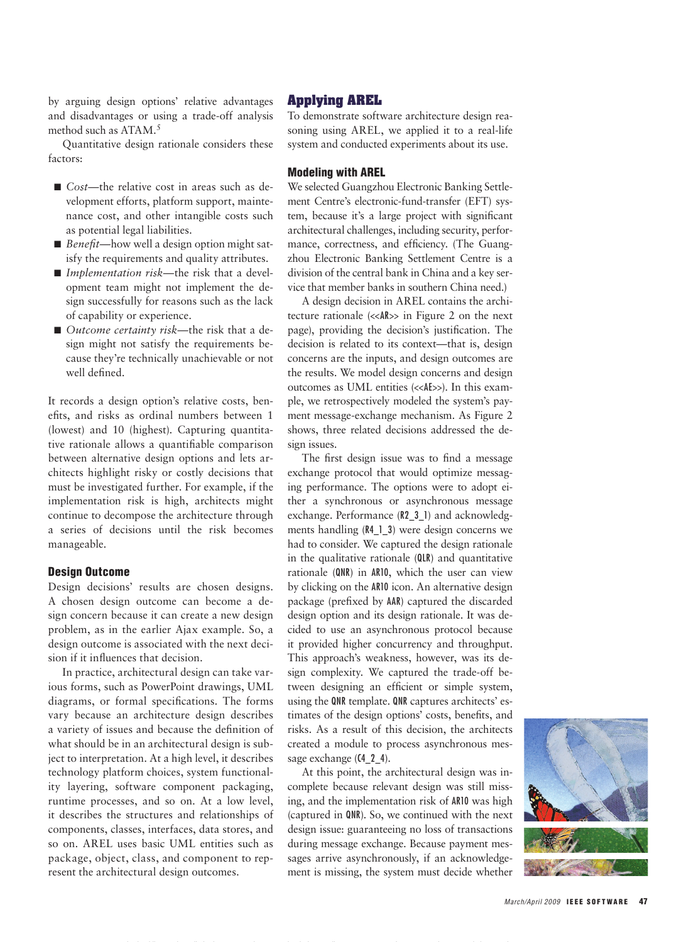by arguing design options' relative advantages and disadvantages or using a trade-off analysis method such as ATAM.5

Quantitative design rationale considers these factors:

- *Cost*—the relative cost in areas such as development efforts, platform support, maintenance cost, and other intangible costs such as potential legal liabilities.
- *Benefit*—how well a design option might satisfy the requirements and quality attributes.
- *Implementation risk—the risk that a devel*opment team might not implement the design successfully for reasons such as the lack of capability or experience.
- *Outcome certainty risk*—the risk that a design might not satisfy the requirements because they're technically unachievable or not well defined.

It records a design option's relative costs, benefits, and risks as ordinal numbers between 1 (lowest) and 10 (highest). Capturing quantitative rationale allows a quantifiable comparison between alternative design options and lets architects highlight risky or costly decisions that must be investigated further. For example, if the implementation risk is high, architects might continue to decompose the architecture through a series of decisions until the risk becomes manageable.

#### Design Outcome

Design decisions' results are chosen designs. A chosen design outcome can become a design concern because it can create a new design problem, as in the earlier Ajax example. So, a design outcome is associated with the next decision if it influences that decision.

In practice, architectural design can take various forms, such as PowerPoint drawings, UML diagrams, or formal specifications. The forms vary because an architecture design describes a variety of issues and because the definition of what should be in an architectural design is subject to interpretation. At a high level, it describes technology platform choices, system functionality layering, software component packaging, runtime processes, and so on. At a low level, it describes the structures and relationships of components, classes, interfaces, data stores, and so on. AREL uses basic UML entities such as package, object, class, and component to represent the architectural design outcomes.

#### **Applying AREL**

To demonstrate software architecture design reasoning using AREL, we applied it to a real-life system and conducted experiments about its use.

#### Modeling with AREL

We selected Guangzhou Electronic Banking Settlement Centre's electronic-fund-transfer (EFT) system, because it's a large project with significant architectural challenges, including security, performance, correctness, and efficiency. (The Guangzhou Electronic Banking Settlement Centre is a division of the central bank in China and a key service that member banks in southern China need.)

A design decision in AREL contains the architecture rationale (<<AR>> in Figure 2 on the next page), providing the decision's justification. The decision is related to its context—that is, design concerns are the inputs, and design outcomes are the results. We model design concerns and design outcomes as UML entities (<<AE>>). In this example, we retrospectively modeled the system's payment message-exchange mechanism. As Figure 2 shows, three related decisions addressed the design issues.

The first design issue was to find a message exchange protocol that would optimize messaging performance. The options were to adopt either a synchronous or asynchronous message exchange. Performance (R2\_3\_1) and acknowledgments handling (R4\_1\_3) were design concerns we had to consider. We captured the design rationale in the qualitative rationale (QLR) and quantitative rationale (QNR) in AR10, which the user can view by clicking on the AR10 icon. An alternative design package (prefixed by AAR) captured the discarded design option and its design rationale. It was decided to use an asynchronous protocol because it provided higher concurrency and throughput. This approach's weakness, however, was its design complexity. We captured the trade-off between designing an efficient or simple system, using the QNR template. QNR captures architects' estimates of the design options' costs, benefits, and risks. As a result of this decision, the architects created a module to process asynchronous message exchange ( $(4_2_4)$ .

At this point, the architectural design was incomplete because relevant design was still missing, and the implementation risk of AR10 was high (captured in QNR). So, we continued with the next design issue: guaranteeing no loss of transactions during message exchange. Because payment messages arrive asynchronously, if an acknowledgement is missing, the system must decide whether

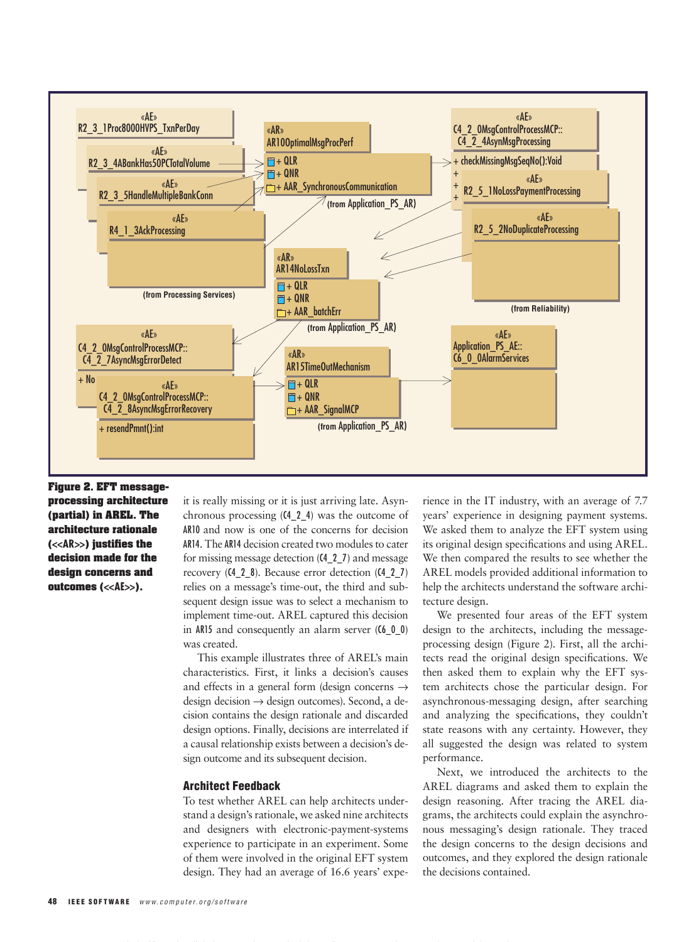

**Figure 2. EFT messageprocessing architecture (partial) in AREL. The architecture rationale (<<AR>>) justifies the decision made for the design concerns and outcomes (<<AE>>).** 

it is really missing or it is just arriving late. Asynchronous processing  $(4\ 2\ 4)$  was the outcome of AR10 and now is one of the concerns for decision AR14. The AR14 decision created two modules to cater for missing message detection  $(4\ 2\ 7)$  and message recovery (C4\_2\_8). Because error detection (C4\_2\_7) relies on a message's time-out, the third and subsequent design issue was to select a mechanism to implement time-out. AREL captured this decision in AR15 and consequently an alarm server (C6 0 0) was created.

This example illustrates three of AREL's main characteristics. First, it links a decision's causes and effects in a general form (design concerns  $\rightarrow$ design decision  $\rightarrow$  design outcomes). Second, a decision contains the design rationale and discarded design options. Finally, decisions are interrelated if a causal relationship exists between a decision's design outcome and its subsequent decision.

#### Architect Feedback

To test whether AREL can help architects understand a design's rationale, we asked nine architects and designers with electronic-payment-systems experience to participate in an experiment. Some of them were involved in the original EFT system design. They had an average of 16.6 years' experience in the IT industry, with an average of 7.7 years' experience in designing payment systems. We asked them to analyze the EFT system using its original design specifications and using AREL. We then compared the results to see whether the AREL models provided additional information to help the architects understand the software architecture design.

We presented four areas of the EFT system design to the architects, including the messageprocessing design (Figure 2). First, all the architects read the original design specifications. We then asked them to explain why the EFT system architects chose the particular design. For asynchronous-messaging design, after searching and analyzing the specifications, they couldn't state reasons with any certainty. However, they all suggested the design was related to system performance.

Next, we introduced the architects to the AREL diagrams and asked them to explain the design reasoning. After tracing the AREL diagrams, the architects could explain the asynchronous messaging's design rationale. They traced the design concerns to the design decisions and outcomes, and they explored the design rationale the decisions contained.